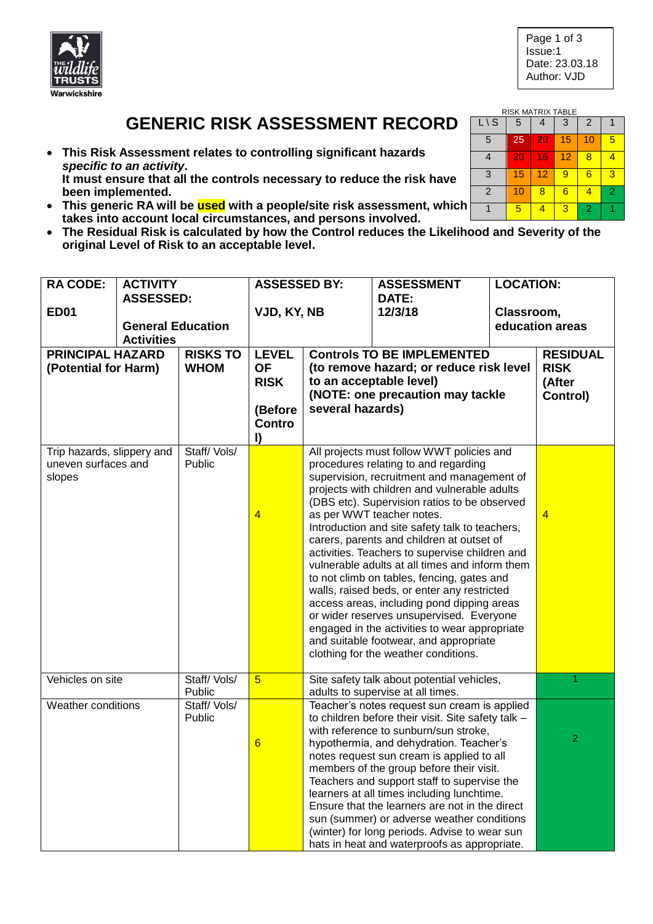

## **GENERIC RISK ASSESSMENT RECORD**

- **This Risk Assessment relates to controlling significant hazards**  *specific to an activity***. It must ensure that all the controls necessary to reduce the risk have been implemented.**
- **This generic RA will be used with a people/site risk assessment, which takes into account local circumstances, and persons involved.**
- **The Residual Risk is calculated by how the Control reduces the Likelihood and Severity of the original Level of Risk to an acceptable level.**

| <b>RACODE:</b>                                    | <b>ACTIVITY</b>                               |                       | <b>ASSESSED BY:</b>      |                                                                                                        | <b>ASSESSMENT</b>                                                                       | <b>LOCATION:</b> |                 |  |
|---------------------------------------------------|-----------------------------------------------|-----------------------|--------------------------|--------------------------------------------------------------------------------------------------------|-----------------------------------------------------------------------------------------|------------------|-----------------|--|
|                                                   | <b>ASSESSED:</b>                              |                       |                          |                                                                                                        | DATE:                                                                                   |                  |                 |  |
| <b>ED01</b>                                       |                                               | VJD, KY, NB           |                          | 12/3/18                                                                                                | Classroom,                                                                              |                  |                 |  |
|                                                   | <b>General Education</b><br><b>Activities</b> |                       |                          |                                                                                                        |                                                                                         |                  | education areas |  |
| <b>PRINCIPAL HAZARD</b>                           |                                               | <b>RISKS TO</b>       | <b>LEVEL</b>             |                                                                                                        | <b>Controls TO BE IMPLEMENTED</b>                                                       |                  | <b>RESIDUAL</b> |  |
| (Potential for Harm)                              |                                               | <b>WHOM</b>           | <b>OF</b>                | (to remove hazard; or reduce risk level<br>to an acceptable level)<br>(NOTE: one precaution may tackle |                                                                                         |                  | <b>RISK</b>     |  |
|                                                   |                                               |                       | <b>RISK</b>              |                                                                                                        |                                                                                         |                  | (After          |  |
|                                                   |                                               |                       | several hazards)         |                                                                                                        |                                                                                         |                  | Control)        |  |
|                                                   |                                               |                       | (Before<br><b>Contro</b> |                                                                                                        |                                                                                         |                  |                 |  |
|                                                   |                                               |                       | $\mathbf{I}$             |                                                                                                        |                                                                                         |                  |                 |  |
|                                                   |                                               | Staff/Vols/           |                          |                                                                                                        | All projects must follow WWT policies and                                               |                  |                 |  |
| Trip hazards, slippery and<br>uneven surfaces and |                                               | <b>Public</b>         |                          |                                                                                                        | procedures relating to and regarding                                                    |                  |                 |  |
| slopes                                            |                                               |                       |                          | supervision, recruitment and management of<br>projects with children and vulnerable adults             |                                                                                         |                  |                 |  |
|                                                   |                                               |                       |                          |                                                                                                        |                                                                                         |                  |                 |  |
|                                                   |                                               |                       |                          |                                                                                                        | (DBS etc). Supervision ratios to be observed                                            |                  |                 |  |
|                                                   |                                               |                       | $\overline{4}$           | as per WWT teacher notes.<br>Introduction and site safety talk to teachers,                            |                                                                                         |                  | $\overline{4}$  |  |
|                                                   |                                               |                       |                          | carers, parents and children at outset of                                                              |                                                                                         |                  |                 |  |
|                                                   |                                               |                       |                          | activities. Teachers to supervise children and                                                         |                                                                                         |                  |                 |  |
|                                                   |                                               |                       |                          |                                                                                                        | vulnerable adults at all times and inform them                                          |                  |                 |  |
|                                                   |                                               |                       |                          |                                                                                                        | to not climb on tables, fencing, gates and                                              |                  |                 |  |
|                                                   |                                               |                       |                          |                                                                                                        | walls, raised beds, or enter any restricted                                             |                  |                 |  |
|                                                   |                                               |                       |                          |                                                                                                        | access areas, including pond dipping areas<br>or wider reserves unsupervised. Everyone  |                  |                 |  |
|                                                   |                                               |                       |                          |                                                                                                        | engaged in the activities to wear appropriate                                           |                  |                 |  |
|                                                   |                                               |                       |                          |                                                                                                        | and suitable footwear, and appropriate                                                  |                  |                 |  |
|                                                   |                                               |                       |                          |                                                                                                        | clothing for the weather conditions.                                                    |                  |                 |  |
|                                                   |                                               |                       |                          |                                                                                                        |                                                                                         |                  |                 |  |
| Vehicles on site                                  |                                               | Staff/Vols/           | $\overline{5}$           | Site safety talk about potential vehicles,<br>adults to supervise at all times.                        |                                                                                         | 1                |                 |  |
| Weather conditions                                |                                               | Public<br>Staff/Vols/ |                          |                                                                                                        | Teacher's notes request sun cream is applied                                            |                  |                 |  |
|                                                   |                                               | Public                |                          |                                                                                                        | to children before their visit. Site safety talk -                                      |                  |                 |  |
|                                                   |                                               |                       |                          |                                                                                                        | with reference to sunburn/sun stroke,                                                   |                  | $\overline{2}$  |  |
|                                                   |                                               |                       | $6\phantom{1}6$          |                                                                                                        | hypothermia, and dehydration. Teacher's                                                 |                  |                 |  |
|                                                   |                                               |                       |                          |                                                                                                        | notes request sun cream is applied to all                                               |                  |                 |  |
|                                                   |                                               |                       |                          |                                                                                                        | members of the group before their visit.<br>Teachers and support staff to supervise the |                  |                 |  |
|                                                   |                                               |                       |                          |                                                                                                        | learners at all times including lunchtime.                                              |                  |                 |  |
|                                                   |                                               |                       |                          |                                                                                                        | Ensure that the learners are not in the direct                                          |                  |                 |  |
|                                                   |                                               |                       |                          |                                                                                                        | sun (summer) or adverse weather conditions                                              |                  |                 |  |
|                                                   |                                               |                       |                          |                                                                                                        | (winter) for long periods. Advise to wear sun                                           |                  |                 |  |
|                                                   |                                               |                       |                          |                                                                                                        | hats in heat and waterproofs as appropriate.                                            |                  |                 |  |

| RISK MATRIX TABLE |    |    |    |                |   |  |  |
|-------------------|----|----|----|----------------|---|--|--|
| $L \setminus S$   | 5  |    | 3  | $\overline{2}$ |   |  |  |
| 5                 | 25 | 20 | 15 | 10             | 5 |  |  |
| 4                 | 20 | 16 | 12 | 8              |   |  |  |
| 3                 | 15 | 12 | 9  | 6              | З |  |  |
| $\overline{2}$    | 10 | 8  | 6  | 4              | 2 |  |  |
|                   | 5  |    | 3  | $\overline{2}$ |   |  |  |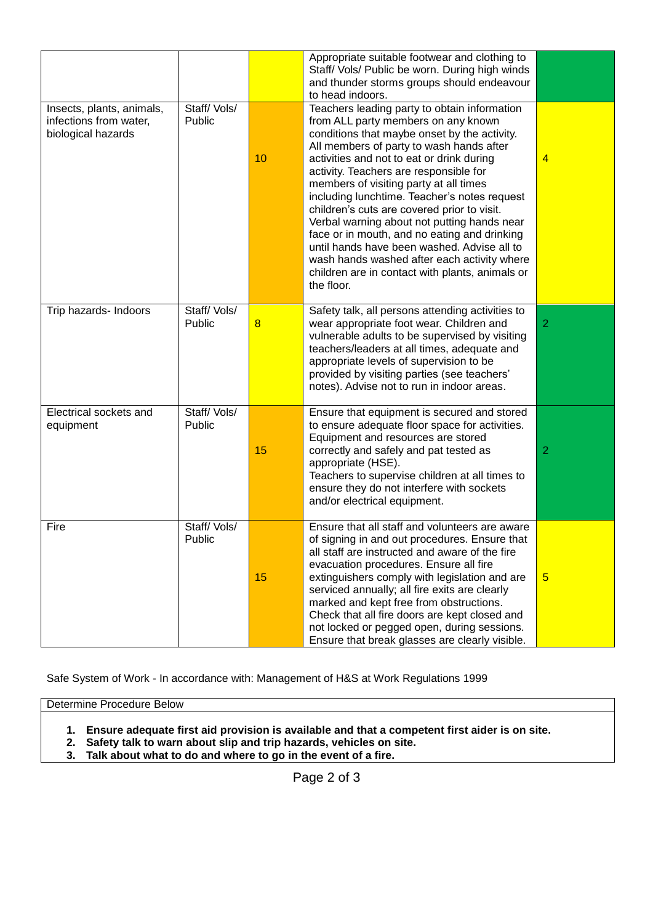| Insects, plants, animals,<br>infections from water,<br>biological hazards | Staff/Vols/<br>Public | 10 | Appropriate suitable footwear and clothing to<br>Staff/ Vols/ Public be worn. During high winds<br>and thunder storms groups should endeavour<br>to head indoors.<br>Teachers leading party to obtain information<br>from ALL party members on any known<br>conditions that maybe onset by the activity.<br>All members of party to wash hands after<br>activities and not to eat or drink during<br>activity. Teachers are responsible for<br>members of visiting party at all times<br>including lunchtime. Teacher's notes request<br>children's cuts are covered prior to visit.<br>Verbal warning about not putting hands near<br>face or in mouth, and no eating and drinking<br>until hands have been washed. Advise all to<br>wash hands washed after each activity where<br>children are in contact with plants, animals or<br>the floor. | $\overline{4}$  |
|---------------------------------------------------------------------------|-----------------------|----|----------------------------------------------------------------------------------------------------------------------------------------------------------------------------------------------------------------------------------------------------------------------------------------------------------------------------------------------------------------------------------------------------------------------------------------------------------------------------------------------------------------------------------------------------------------------------------------------------------------------------------------------------------------------------------------------------------------------------------------------------------------------------------------------------------------------------------------------------|-----------------|
| Trip hazards- Indoors                                                     | Staff/Vols/<br>Public | 8  | Safety talk, all persons attending activities to<br>wear appropriate foot wear. Children and<br>vulnerable adults to be supervised by visiting<br>teachers/leaders at all times, adequate and<br>appropriate levels of supervision to be<br>provided by visiting parties (see teachers'<br>notes). Advise not to run in indoor areas.                                                                                                                                                                                                                                                                                                                                                                                                                                                                                                              | $\overline{2}$  |
| Electrical sockets and<br>equipment                                       | Staff/Vols/<br>Public | 15 | Ensure that equipment is secured and stored<br>to ensure adequate floor space for activities.<br>Equipment and resources are stored<br>correctly and safely and pat tested as<br>appropriate (HSE).<br>Teachers to supervise children at all times to<br>ensure they do not interfere with sockets<br>and/or electrical equipment.                                                                                                                                                                                                                                                                                                                                                                                                                                                                                                                 | $\overline{2}$  |
| Fire                                                                      | Staff/Vols/<br>Public | 15 | Ensure that all staff and volunteers are aware<br>of signing in and out procedures. Ensure that<br>all staff are instructed and aware of the fire<br>evacuation procedures. Ensure all fire<br>extinguishers comply with legislation and are<br>serviced annually; all fire exits are clearly<br>marked and kept free from obstructions.<br>Check that all fire doors are kept closed and<br>not locked or pegged open, during sessions.<br>Ensure that break glasses are clearly visible.                                                                                                                                                                                                                                                                                                                                                         | $5\phantom{.0}$ |

Safe System of Work - In accordance with: Management of H&S at Work Regulations 1999

Determine Procedure Below

- **1. Ensure adequate first aid provision is available and that a competent first aider is on site.**
- **2. Safety talk to warn about slip and trip hazards, vehicles on site.**
- **3. Talk about what to do and where to go in the event of a fire.**